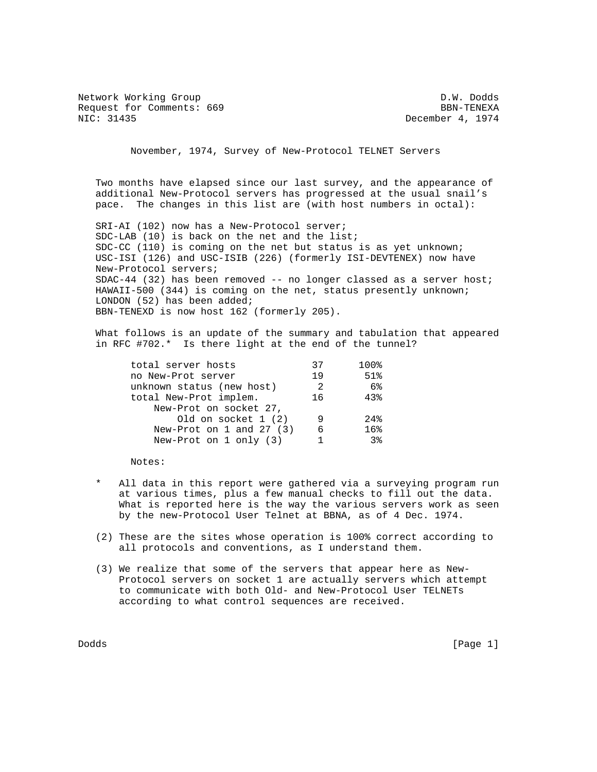Network Working Group D.W. Dodds Request for Comments: 669 BBN-TENEXA<br>NIC: 31435 BBN-TENEXA

December 4, 1974

November, 1974, Survey of New-Protocol TELNET Servers

 Two months have elapsed since our last survey, and the appearance of additional New-Protocol servers has progressed at the usual snail's pace. The changes in this list are (with host numbers in octal):

 SRI-AI (102) now has a New-Protocol server; SDC-LAB (10) is back on the net and the list; SDC-CC (110) is coming on the net but status is as yet unknown; USC-ISI (126) and USC-ISIB (226) (formerly ISI-DEVTENEX) now have New-Protocol servers; SDAC-44 (32) has been removed  $--$  no longer classed as a server host; HAWAII-500 (344) is coming on the net, status presently unknown; LONDON (52) has been added; BBN-TENEXD is now host 162 (formerly 205).

 What follows is an update of the summary and tabulation that appeared in RFC #702.\* Is there light at the end of the tunnel?

| total server hosts           | 37 | 100%            |
|------------------------------|----|-----------------|
| no New-Prot server           | 19 | 51%             |
| unknown status (new host)    | -2 | 6%              |
| total New-Prot implem.       | 16 | 43%             |
| New-Prot on socket 27,       |    |                 |
| Old on socket $1(2)$         |    | 24%             |
| New-Prot on $1$ and $27$ (3) | 6  | 16 <sup>°</sup> |
| New-Prot on $1$ only $(3)$   |    | 3%              |

Notes:

- All data in this report were gathered via a surveying program run at various times, plus a few manual checks to fill out the data. What is reported here is the way the various servers work as seen by the new-Protocol User Telnet at BBNA, as of 4 Dec. 1974.
- (2) These are the sites whose operation is 100% correct according to all protocols and conventions, as I understand them.
- (3) We realize that some of the servers that appear here as New- Protocol servers on socket 1 are actually servers which attempt to communicate with both Old- and New-Protocol User TELNETs according to what control sequences are received.

Dodds [Page 1]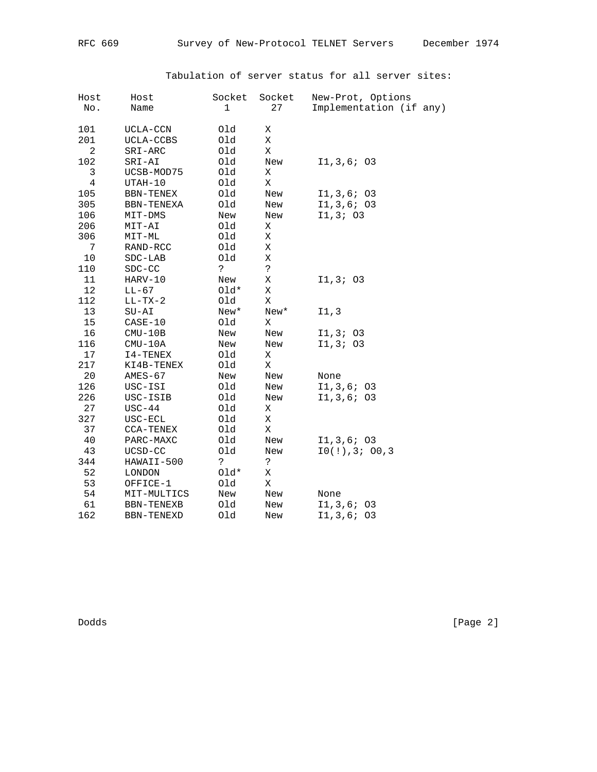Tabulation of server status for all server sites:

| Host<br>No. | Host<br>Name  | Socket<br>1 | Socket<br>27 | New-Prot, Options<br>Implementation (if any) |
|-------------|---------------|-------------|--------------|----------------------------------------------|
|             |               |             |              |                                              |
| 101         | UCLA-CCN      | Old         | Χ            |                                              |
| 201         | UCLA-CCBS     | Old         | X            |                                              |
| 2           | SRI-ARC       | Old         | Χ            |                                              |
| 102         | SRI-AI        | Old         | New          | I1, 3, 6; 03                                 |
| 3           | UCSB-MOD75    | Old         | Χ            |                                              |
| 4           | UTAH-10       | Old         | Χ            |                                              |
| 105         | BBN-TENEX     | Old         | New          | I1, 3, 6; 03                                 |
| 305         | BBN-TENEXA    | Old         | New          | I1,3,6; 03                                   |
| 106         | MIT-DMS       | New         | New          | I1,3; 03                                     |
| 206         | MIT-AI        | Old         | Χ            |                                              |
| 306         | MIT-ML        | Old         | Χ            |                                              |
| 7           | RAND-RCC      | Old         | Χ            |                                              |
| $10$        | $SDC-LAB$     | Old         | X            |                                              |
| 110         | $SDC-CC$      | 2           | $\mathbf{S}$ |                                              |
| 11          | HARV-10       | New         | X            | I1, 3; 03                                    |
| 12          | $LL-67$       | $0ld*$      | X            |                                              |
| 112         | $LL-TX-2$     | Old         | Χ            |                                              |
| 13          | $SU-AI$       | New*        | New*         | 11,3                                         |
| 15          | $CASE-10$     | Old         | Χ            |                                              |
| 16          | $CMU-10B$     | New         | New          | 11, 3; 03                                    |
| 116         | $CMU-10A$     | New         | New          | I1, 3; 03                                    |
| 17          | I4-TENEX      | Old         | Χ            |                                              |
| 217         | KI4B-TENEX    | Old         | Χ            |                                              |
| 20          | $AMES-67$     | New         | New          | None                                         |
| 126         | USC-ISI       | Old         | New          | I1,3,6; 03                                   |
| 226         | USC-ISIB      | Old         | New          | I1,3,6; 03                                   |
| 27          | $USC-44$      | Old         | Χ            |                                              |
| 327         | USC-ECL       | Old         | Χ            |                                              |
| 37          | CCA-TENEX     | Old         | Χ            |                                              |
| $40$        | PARC-MAXC     | Old         | New          | I1, 3, 6; 03                                 |
| 43          | UCSD-CC       | Old         | New          | $IO(!)$ , 3; 00, 3                           |
| 344         | HAWAII-500    | ?           | S.           |                                              |
| 52          | <b>LONDON</b> | $0ld*$      | Χ            |                                              |
| 53          | OFFICE-1      | Old         | X            |                                              |
| 54          | MIT-MULTICS   | New         | New          | None                                         |
| 61          | BBN-TENEXB    | Old         | New          | I1, 3, 6; 03                                 |
| 162         | BBN-TENEXD    | Old         | New          | I1,3,6; 03                                   |

Dodds [Page 2]